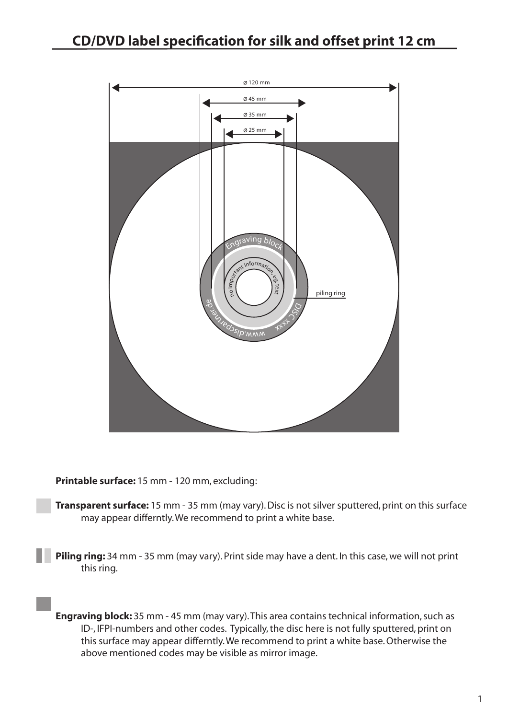

**Printable surface:** 15 mm - 120 mm, excluding:

**Transparent surface:** 15 mm - 35 mm (may vary). Disc is not silver sputtered, print on this surface may appear differntly. We recommend to print a white base.

**Piling ring:** 34 mm - 35 mm (may vary). Print side may have a dent. In this case, we will not print this ring.

**Engraving block:** 35 mm - 45 mm (may vary). This area contains technical information, such as ID-, IFPI-numbers and other codes. Typically, the disc here is not fully sputtered, print on this surface may appear differntly. We recommend to print a white base. Otherwise the above mentioned codes may be visible as mirror image.